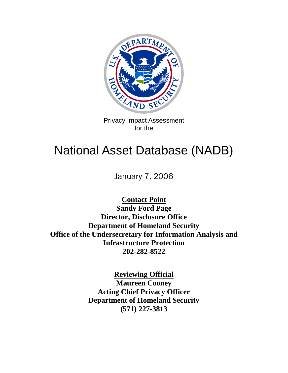

Privacy Impact Assessment for the

# National Asset Database (NADB)

January 7, 2006

**Contact Point Sandy Ford Page Director, Disclosure Office Department of Homeland Security Office of the Undersecretary for Information Analysis and Infrastructure Protection 202-282-8522** 

> **Reviewing Official Maureen Cooney Acting Chief Privacy Officer Department of Homeland Security (571) 227-3813**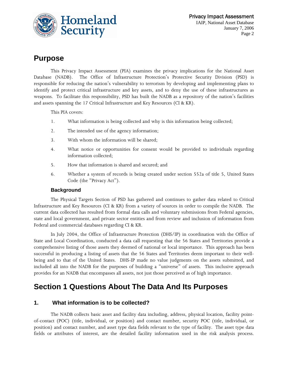

# **Purpose**

This Privacy Impact Assessment (PIA) examines the privacy implications for the National Asset Database (NADB). The Office of Infrastructure Protection's Protective Security Division (PSD) is responsible for reducing the nation's vulnerability to terrorism by developing and implementing plans to identify and protect critical infrastructure and key assets, and to deny the use of these infrastructures as weapons. To facilitate this responsibility, PSD has built the NADB as a repository of the nation's facilities and assets spanning the 17 Critical Infrastructure and Key Resources (CI & KR).

This PIA covers:

- 1. What information is being collected and why is this information being collected;
- 2. The intended use of the agency information;
- 3. With whom the information will be shared;
- 4. What notice or opportunities for consent would be provided to individuals regarding information collected;
- 5. How that information is shared and secured; and
- 6. Whether a system of records is being created under section 552a of title 5, United States Code (the "Privacy Act").

#### **Background**

The Physical Targets Section of PSD has gathered and continues to gather data related to Critical Infrastructure and Key Resources (CI & KR) from a variety of sources in order to compile the NADB. The current data collected has resulted from formal data calls and voluntary submissions from Federal agencies, state and local government, and private sector entities and from review and inclusion of information from Federal and commercial databases regarding CI & KR.

In July 2004, the Office of Infrastructure Protection (DHS/IP) in coordination with the Office of State and Local Coordination, conducted a data call requesting that the 56 States and Territories provide a comprehensive listing of those assets they deemed of national or local importance. This approach has been successful in producing a listing of assets that the 56 States and Territories deem important to their wellbeing and to that of the United States. DHS-IP made no value judgments on the assets submitted, and included all into the NADB for the purposes of building a "universe" of assets. This inclusive approach provides for an NADB that encompasses all assets, not just those perceived as of high importance.

# **Section 1 Questions About The Data And Its Purposes**

#### **1. What information is to be collected?**

The NADB collects basic asset and facility data including, address, physical location, facility pointof-contact (POC) (title, individual, or position) and contact number, security POC (title, individual, or position) and contact number, and asset type data fields relevant to the type of facility. The asset type data fields or attributes of interest, are the detailed facility information used in the risk analysis process.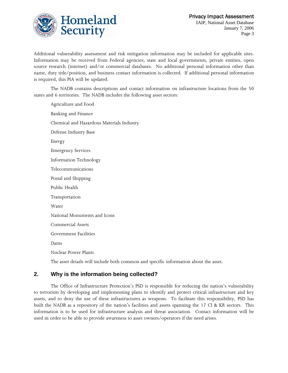

Additional vulnerability assessment and risk mitigation information may be included for applicable sites. Information may be received from Federal agencies, state and local governments, private entities, open source research (internet) and/or commercial databases. No additional personal information other than name, duty title/position, and business contact information is collected. If additional personal information is required, this PIA will be updated.

The NADB contains descriptions and contact information on infrastructure locations from the 50 states and 6 territories. The NADB includes the following asset sectors:

Agriculture and Food Banking and Finance Chemical and Hazardous Materials Industry Defense Industry Base Energy Emergency Services Information Technology Telecommunications Postal and Shipping Public Health Transportation Water National Monuments and Icons Commercial Assets Government Facilities Dams Nuclear Power Plants The asset details will include both common and specific information about the asset.

**2. Why is the information being collected?** 

The Office of Infrastructure Protection's PSD is responsible for reducing the nation's vulnerability to terrorism by developing and implementing plans to identify and protect critical infrastructure and key assets, and to deny the use of these infrastructures as weapons. To facilitate this responsibility, PSD has built the NADB as a repository of the nation's facilities and assets spanning the 17 CI & KR sectors. This information is to be used for infrastructure analysis and threat association. Contact information will be used in order to be able to provide awareness to asset owners/operators if the need arises.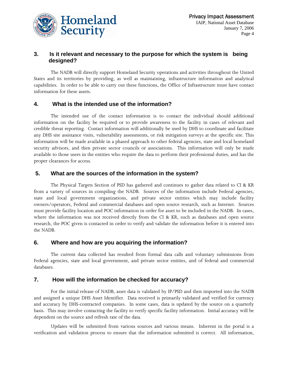

#### **3. Is it relevant and necessary to the purpose for which the system is being designed?**

The NADB will directly support Homeland Security operations and activities throughout the United States and its territories by providing, as well as maintaining, infrastructure information and analytical capabilities. In order to be able to carry out these functions, the Office of Infrastructure must have contact information for these assets.

#### **4. What is the intended use of the information?**

The intended use of the contact information is to contact the individual should additional information on the facility be required or to provide awareness to the facility in cases of relevant and credible threat reporting. Contact information will additionally be used by DHS to coordinate and facilitate any DHS site assistance visits, vulnerability assessments, or risk mitigation surveys at the specific site. This information will be made available in a phased approach to other federal agencies, state and local homeland security advisors, and then private sector councils or associations. This information will only be made available to those users in the entities who require the data to perform their professional duties, and has the proper clearances for access.

#### **5. What are the sources of the information in the system?**

The Physical Targets Section of PSD has gathered and continues to gather data related to CI & KR from a variety of sources in compiling the NADB. Sources of the information include Federal agencies, state and local government organizations, and private sector entities which may include facility owners/operators, Federal and commercial databases and open source research, such as Internet. Sources must provide facility location and POC information in order for asset to be included in the NADB. In cases, where the information was not received directly from the CI & KR, such as databases and open source research, the POC given is contacted in order to verify and validate the information before it is entered into the NADB.

#### **6. Where and how are you acquiring the information?**

The current data collected has resulted from formal data calls and voluntary submissions from Federal agencies, state and local government, and private sector entities, and of federal and commercial databases.

#### **7. How will the information be checked for accuracy?**

For the initial release of NADB, asset data is validated by IP/PSD and then imported into the NADB and assigned a unique DHS Asset Identifier. Data received is primarily validated and verified for currency and accuracy by DHS-contracted companies. In some cases, data is updated by the source on a quarterly basis. This may involve contacting the facility to verify specific facility information. Initial accuracy will be dependent on the source and refresh rate of the data.

Updates will be submitted from various sources and various means. Inherent in the portal is a verification and validation process to ensure that the information submitted is correct. All information,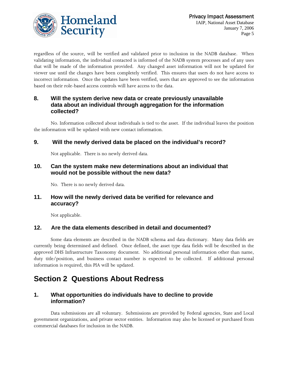

regardless of the source, will be verified and validated prior to inclusion in the NADB database. When validating information, the individual contacted is informed of the NADB system processes and of any uses that will be made of the information provided. Any changed asset information will not be updated for viewer use until the changes have been completely verified. This ensures that users do not have access to incorrect information. Once the updates have been verified, users that are approved to see the information based on their role-based access controls will have access to the data.

#### **8. Will the system derive new data or create previously unavailable data about an individual through aggregation for the information collected?**

No. Information collected about individuals is tied to the asset. If the individual leaves the position the information will be updated with new contact information.

#### **9. Will the newly derived data be placed on the individual's record?**

Not applicable. There is no newly derived data.

#### **10. Can the system make new determinations about an individual that would not be possible without the new data?**

No. There is no newly derived data.

#### **11. How will the newly derived data be verified for relevance and accuracy?**

Not applicable.

#### **12. Are the data elements described in detail and documented?**

Some data elements are described in the NADB schema and data dictionary. Many data fields are currently being determined and defined. Once defined, the asset type data fields will be described in the approved DHS Infrastructure Taxonomy document. No additional personal information other than name, duty title/position, and business contact number is expected to be collected. If additional personal information is required, this PIA will be updated.

# **Section 2 Questions About Redress**

### **1. What opportunities do individuals have to decline to provide information?**

Data submissions are all voluntary. Submissions are provided by Federal agencies, State and Local government organizations, and private sector entities. Information may also be licensed or purchased from commercial databases for inclusion in the NADB.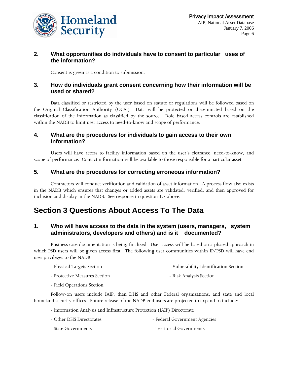

#### **2. What opportunities do individuals have to consent to particular uses of the information?**

Consent is given as a condition to submission.

#### **3. How do individuals grant consent concerning how their information will be used or shared?**

Data classified or restricted by the user based on statute or regulations will be followed based on the Original Classification Authority (OCA.) Data will be protected or disseminated based on the classification of the information as classified by the source. Role based access controls are established within the NADB to limit user access to need-to-know and scope of performance.

#### **4. What are the procedures for individuals to gain access to their own information?**

Users will have access to facility information based on the user's clearance, need-to-know, and scope of performance. Contact information will be available to those responsible for a particular asset.

#### **5. What are the procedures for correcting erroneous information?**

Contractors will conduct verification and validation of asset information. A process flow also exists in the NADB which ensures that changes or added assets are validated, verified, and then approved for inclusion and display in the NADB. See response in question 1.7 above.

# **Section 3 Questions About Access To The Data**

#### **1. Who will have access to the data in the system (users, managers, system administrators, developers and others) and is it documented?**

Business case documentation is being finalized. User access will be based on a phased approach in which PSD users will be given access first. The following user communities within IP/PSD will have end user privileges to the NADB:

- Physical Targets Section  $\qquad \qquad$  Vulnerability Identification Section
- Protective Measures Section  **Risk Analysis Section**
- Field Operations Section

Follow-on users include IAIP, then DHS and other Federal organizations, and state and local homeland security offices. Future release of the NADB end users are projected to expand to include:

- Information Analysis and Infrastructure Protection (IAIP) Directorate
- Other DHS Directorates Federal Government Agencies
- State Governments Territorial Governments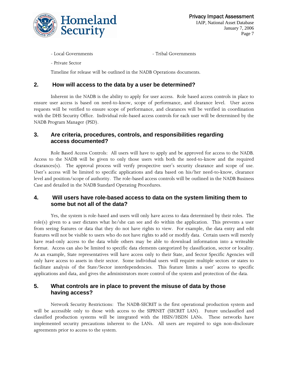

 Privacy Impact Assessment IAIP, National Asset Database January 7, 2006 Page 7

- Local Governments - Tribal Governments

- Private Sector

Timeline for release will be outlined in the NADB Operations documents.

#### **2. How will access to the data by a user be determined?**

Inherent in the NADB is the ability to apply for user access. Role based access controls in place to ensure user access is based on need-to-know, scope of performance, and clearance level. User access requests will be verified to ensure scope of performance, and clearances will be verified in coordination with the DHS Security Office. Individual role-based access controls for each user will be determined by the NADB Program Manager (PSD).

#### **3. Are criteria, procedures, controls, and responsibilities regarding access documented?**

Role Based Access Controls: All users will have to apply and be approved for access to the NADB. Access to the NADB will be given to only those users with both the need-to-know and the required clearances(s). The approval process will verify prospective user's security clearance and scope of use. User's access will be limited to specific applications and data based on his/her need-to-know, clearance level and position/scope of authority. The role-based access controls will be outlined in the NADB Business Case and detailed in the NADB Standard Operating Procedures.

#### **4. Will users have role-based access to data on the system limiting them to some but not all of the data?**

Yes, the system is role-based and users will only have access to data determined by their roles. The role(s) given to a user dictates what he/she can see and do within the application. This prevents a user from seeing features or data that they do not have rights to view. For example, the data entry and edit features will not be visible to users who do not have rights to add or modify data. Certain users will merely have read-only access to the data while others may be able to download information into a writeable format. Access can also be limited to specific data elements categorized by classification, sector or locality. As an example, State representatives will have access only to their State, and Sector Specific Agencies will only have access to assets in their sector. Some individual users will require multiple sectors or states to facilitate analysis of the State/Sector interdependencies. This feature limits a user' access to specific applications and data, and gives the administrators more control of the system and protection of the data.

#### **5. What controls are in place to prevent the misuse of data by those having access?**

Network Security Restrictions: The NADB-SECRET is the first operational production system and will be accessible only to those with access to the SIPRNET (SECRET LAN). Future unclassified and classified production systems will be integrated with the HSIN/HSDN LANs. These networks have implemented security precautions inherent to the LANs. All users are required to sign non-disclosure agreements prior to access to the system.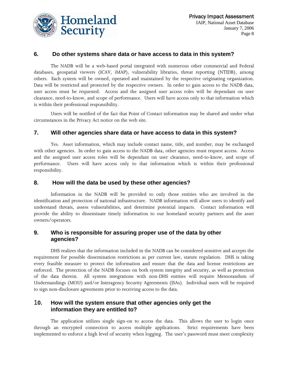

#### **6. Do other systems share data or have access to data in this system?**

The NADB will be a web-based portal integrated with numerous other commercial and Federal databases, geospatial viewers (ICAV, iMAP), vulnerability libraries, threat reporting (NTIDB), among others. Each system will be owned, operated and maintained by the respective originating organization. Data will be restricted and protected by the respective owners. In order to gain access to the NADB data, user access must be requested. Access and the assigned user access roles will be dependant on user clearance, need-to-know, and scope of performance. Users will have access only to that information which is within their professional responsibility.

Users will be notified of the fact that Point of Contact information may be shared and under what circumstances in the Privacy Act notice on the web site.

#### **7. Will other agencies share data or have access to data in this system?**

Yes. Asset information, which may include contact name, title, and number, may be exchanged with other agencies. In order to gain access to the NADB data, other agencies must request access. Access and the assigned user access roles will be dependant on user clearance, need-to-know, and scope of performance. Users will have access only to that information which is within their professional responsibility.

#### **8. How will the data be used by these other agencies?**

Information in the NADB will be provided to only those entities who are involved in the identification and protection of national infrastructure. NADB information will allow users to identify and understand threats, assess vulnerabilities, and determine potential impacts. Contact information will provide the ability to disseminate timely information to our homeland security partners and the asset owners/operators.

#### **9. Who is responsible for assuring proper use of the data by other agencies?**

DHS realizes that the information included in the NADB can be considered sensitive and accepts the requirement for possible dissemination restrictions as per current law, statute regulation. DHS is taking every feasible measure to protect the information and ensure that the data and license restrictions are enforced. The protection of the NADB focuses on both system integrity and security, as well as protection of the data therein. All system integrations with non-DHS entities will require Memorandum of Understandings (MOU) and/or Interagency Security Agreements (ISAs). Individual users will be required to sign non-disclosure agreements prior to receiving access to the data.

#### 1**0. How will the system ensure that other agencies only get the information they are entitled to?**

The application utilizes single sign-on to access the data. This allows the user to login once through an encrypted connection to access multiple applications. Strict requirements have been implemented to enforce a high level of security when logging. The user's password must meet complexity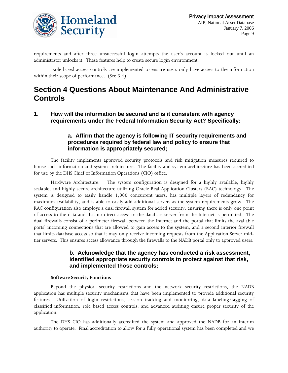

requirements and after three unsuccessful login attempts the user's account is locked out until an administrator unlocks it. These features help to create secure login environment.

 Role-based access controls are implemented to ensure users only have access to the information within their scope of performance. (See 3.4)

# **Section 4 Questions About Maintenance And Administrative Controls**

**1. How will the information be secured and is it consistent with agency requirements under the Federal Information Security Act? Specifically:** 

#### **a. Affirm that the agency is following IT security requirements and procedures required by federal law and policy to ensure that information is appropriately secured;**

The facility implements approved security protocols and risk mitigation measures required to house such information and system architecture. The facility and system architecture has been accredited for use by the DHS Chief of Information Operations (CIO) office.

Hardware Architecture: The system configuration is designed for a highly available, highly scalable, and highly secure architecture utilizing Oracle Real Application Clusters (RAC) technology. The system is designed to easily handle 1,000 concurrent users, has multiple layers of redundancy for maximum availability, and is able to easily add additional servers as the system requirements grow. The RAC configuration also employs a dual firewall system for added security, ensuring there is only one point of access to the data and that no direct access to the database server from the Internet is permitted. The dual firewalls consist of a perimeter firewall between the Internet and the portal that limits the available ports' incoming connections that are allowed to gain access to the system, and a second interior firewall that limits database access so that it may only receive incoming requests from the Application Server midtier servers. This ensures access allowance through the firewalls to the NADB portal only to approved users.

#### **b. Acknowledge that the agency has conducted a risk assessment, identified appropriate security controls to protect against that risk, and implemented those controls;**

#### **Software Security Functions**

Beyond the physical security restrictions and the network security restrictions, the NADB application has multiple security mechanisms that have been implemented to provide additional security features. Utilization of login restrictions, session tracking and monitoring, data labeling/tagging of classified information, role based access controls, and advanced auditing ensure proper security of the application.

The DHS CIO has additionally accredited the system and approved the NADB for an interim authority to operate. Final accreditation to allow for a fully operational system has been completed and we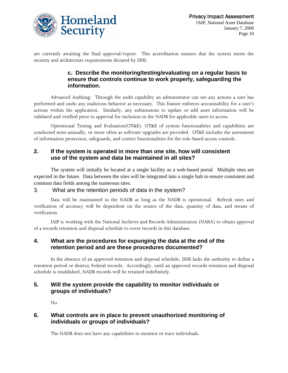

are currently awaiting the final approval/report. This accreditation ensures that the system meets the security and architecture requirements dictated by DHS.

### **c. Describe the monitoring/testing/evaluating on a regular basis to ensure that controls continue to work properly, safeguarding the information.**

Advanced Auditing: Through the audit capability an administrator can see any actions a user has performed and undo any malicious behavior as necessary. This feature enforces accountability for a user's actions within the application. Similarly, any submissions to update or add asset information will be validated and verified prior to approval for inclusion in the NADB for applicable users to access.

Operational Testing and Evaluation(OT&E): OT&E of system functionalities and capabilities are conducted semi-annually, or more often as software upgrades are provided. OT&E includes the assessment of information protection, safeguards, and correct functionalities for the role-based access controls.

#### **2. If the system is operated in more than one site, how will consistent use of the system and data be maintained in all sites?**

The system will initially be located at a single facility as a web-based portal. Multiple sites are expected in the future. Data between the sites will be integrated into a single hub to ensure consistent and common data fields among the numerous sites.

#### 3. What are the retention periods of data in the system?

Data will be maintained in the NADB as long as the NADB is operational. Refresh rates and verification of accuracy will be dependent on the source of the data, quantity of data, and means of verification.

IAIP is working with the National Archives and Records Administration (NARA) to obtain approval of a records retention and disposal schedule to cover records in this database.

#### **4. What are the procedures for expunging the data at the end of the retention period and are these procedures documented?**

In the absence of an approved retention and disposal schedule, DHS lacks the authority to define a retention period or destroy Federal records. Accordingly, until an approved records retention and disposal schedule is established, NADB records will be retained indefinitely.

#### **5. Will the system provide the capability to monitor individuals or groups of individuals?**

No.

#### **6. What controls are in place to prevent unauthorized monitoring of individuals or groups of individuals?**

The NADB does not have any capabilities to monitor or trace individuals.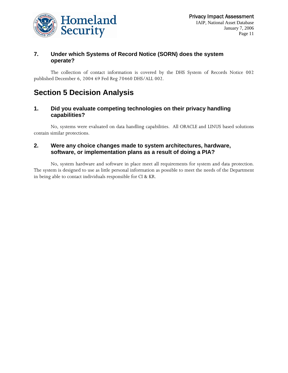

#### **7. Under which Systems of Record Notice (SORN) does the system operate?**

The collection of contact information is covered by the DHS System of Records Notice 002 published December 6, 2004 69 Fed Reg 70460 DHS/ALL 002.

# **Section 5 Decision Analysis**

#### **1. Did you evaluate competing technologies on their privacy handling capabilities?**

No, systems were evaluated on data handling capabilities. All ORACLE and LINUS based solutions contain similar protections.

#### **2. Were any choice changes made to system architectures, hardware, software, or implementation plans as a result of doing a PIA?**

No, system hardware and software in place meet all requirements for system and data protection. The system is designed to use as little personal information as possible to meet the needs of the Department in being able to contact individuals responsible for CI & KR.